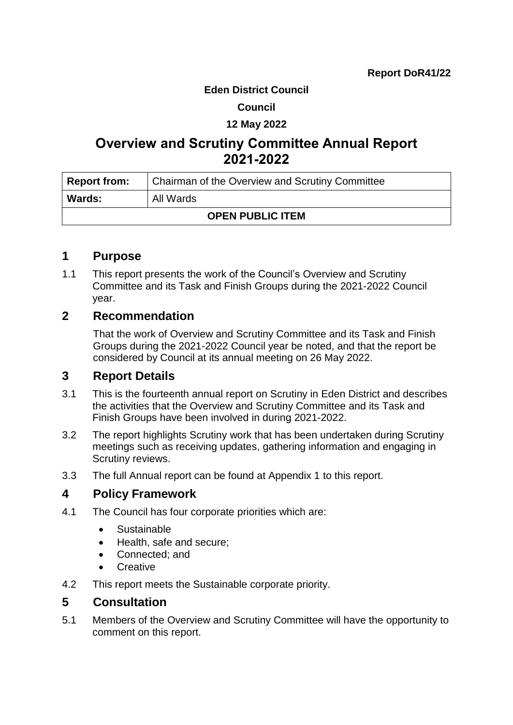### **Eden District Council**

### **Council**

### **12 May 2022**

# **Overview and Scrutiny Committee Annual Report 2021-2022**

| <b>Report from:</b>     | Chairman of the Overview and Scrutiny Committee |  |
|-------------------------|-------------------------------------------------|--|
| <b>Wards:</b>           | All Wards                                       |  |
| <b>OPEN PUBLIC ITEM</b> |                                                 |  |

### **1 Purpose**

1.1 This report presents the work of the Council's Overview and Scrutiny Committee and its Task and Finish Groups during the 2021-2022 Council year.

# **2 Recommendation**

That the work of Overview and Scrutiny Committee and its Task and Finish Groups during the 2021-2022 Council year be noted, and that the report be considered by Council at its annual meeting on 26 May 2022.

# **3 Report Details**

- 3.1 This is the fourteenth annual report on Scrutiny in Eden District and describes the activities that the Overview and Scrutiny Committee and its Task and Finish Groups have been involved in during 2021-2022.
- 3.2 The report highlights Scrutiny work that has been undertaken during Scrutiny meetings such as receiving updates, gathering information and engaging in Scrutiny reviews.
- 3.3 The full Annual report can be found at Appendix 1 to this report.

# **4 Policy Framework**

- 4.1 The Council has four corporate priorities which are:
	- Sustainable
	- Health, safe and secure;
	- Connected; and
	- Creative
- 4.2 This report meets the Sustainable corporate priority.

# **5 Consultation**

5.1 Members of the Overview and Scrutiny Committee will have the opportunity to comment on this report.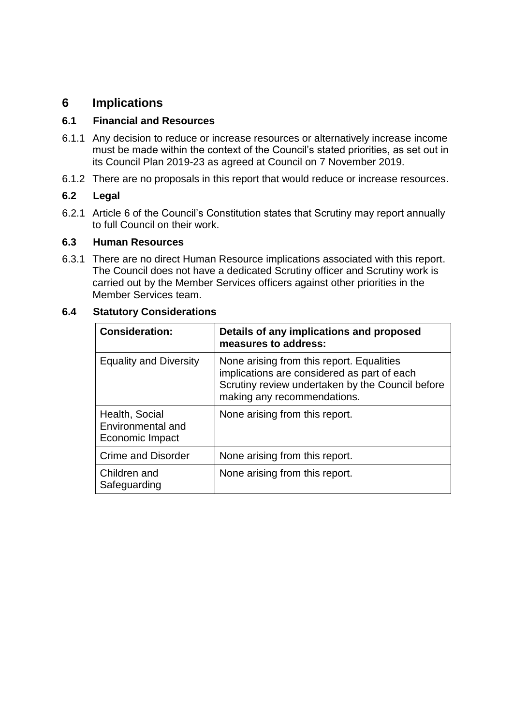# **6 Implications**

### **6.1 Financial and Resources**

- 6.1.1 Any decision to reduce or increase resources or alternatively increase income must be made within the context of the Council's stated priorities, as set out in its Council Plan 2019-23 as agreed at Council on 7 November 2019.
- 6.1.2 There are no proposals in this report that would reduce or increase resources.

### **6.2 Legal**

6.2.1 Article 6 of the Council's Constitution states that Scrutiny may report annually to full Council on their work.

### **6.3 Human Resources**

6.3.1 There are no direct Human Resource implications associated with this report. The Council does not have a dedicated Scrutiny officer and Scrutiny work is carried out by the Member Services officers against other priorities in the Member Services team.

### **6.4 Statutory Considerations**

| <b>Consideration:</b>                                  | Details of any implications and proposed<br>measures to address:                                                                                                            |
|--------------------------------------------------------|-----------------------------------------------------------------------------------------------------------------------------------------------------------------------------|
| <b>Equality and Diversity</b>                          | None arising from this report. Equalities<br>implications are considered as part of each<br>Scrutiny review undertaken by the Council before<br>making any recommendations. |
| Health, Social<br>Environmental and<br>Economic Impact | None arising from this report.                                                                                                                                              |
| <b>Crime and Disorder</b>                              | None arising from this report.                                                                                                                                              |
| Children and<br>Safeguarding                           | None arising from this report.                                                                                                                                              |